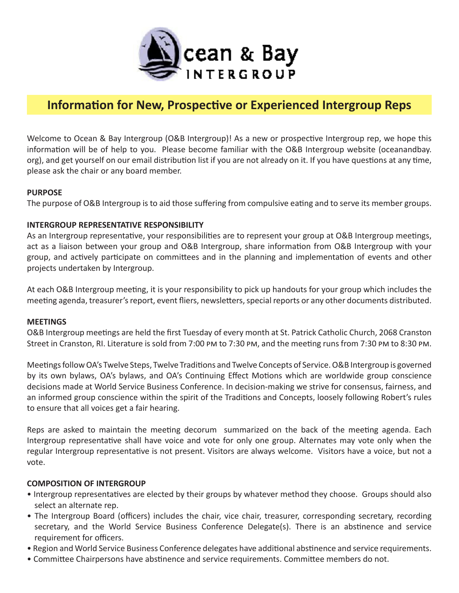

# **Information for New, Prospective or Experienced Intergroup Reps**

Welcome to Ocean & Bay Intergroup (O&B Intergroup)! As a new or prospective Intergroup rep, we hope this information will be of help to you. Please become familiar with the O&B Intergroup website (oceanandbay. org), and get yourself on our email distribution list if you are not already on it. If you have questions at any time, please ask the chair or any board member.

### **PURPOSE**

The purpose of O&B Intergroup is to aid those suffering from compulsive eating and to serve its member groups.

#### **INTERGROUP REPRESENTATIVE RESPONSIBILITY**

As an Intergroup representative, your responsibilities are to represent your group at O&B Intergroup meetings, act as a liaison between your group and O&B Intergroup, share information from O&B Intergroup with your group, and actively participate on committees and in the planning and implementation of events and other projects undertaken by Intergroup.

At each O&B Intergroup meeting, it is your responsibility to pick up handouts for your group which includes the meeting agenda, treasurer's report, event fliers, newsletters, special reports or any other documents distributed.

#### **MEETINGS**

O&B Intergroup meetings are held the first Tuesday of every month at St. Patrick Catholic Church, 2068 Cranston Street in Cranston, RI. Literature is sold from 7:00 pm to 7:30 pm, and the meeting runs from 7:30 pm to 8:30 pm.

Meetings follow OA's Twelve Steps, Twelve Traditions and Twelve Concepts of Service. O&B Intergroup is governed by its own bylaws, OA's bylaws, and OA's Continuing Effect Motions which are worldwide group conscience decisions made at World Service Business Conference. In decision-making we strive for consensus, fairness, and an informed group conscience within the spirit of the Traditions and Concepts, loosely following Robert's rules to ensure that all voices get a fair hearing.

Reps are asked to maintain the meeting decorum summarized on the back of the meeting agenda. Each Intergroup representative shall have voice and vote for only one group. Alternates may vote only when the regular Intergroup representative is not present. Visitors are always welcome. Visitors have a voice, but not a vote.

#### **COMPOSITION OF INTERGROUP**

- Intergroup representatives are elected by their groups by whatever method they choose. Groups should also select an alternate rep.
- The Intergroup Board (officers) includes the chair, vice chair, treasurer, corresponding secretary, recording secretary, and the World Service Business Conference Delegate(s). There is an abstinence and service requirement for officers.
- Region and World Service Business Conference delegates have additional abstinence and service requirements.
- Committee Chairpersons have abstinence and service requirements. Committee members do not.